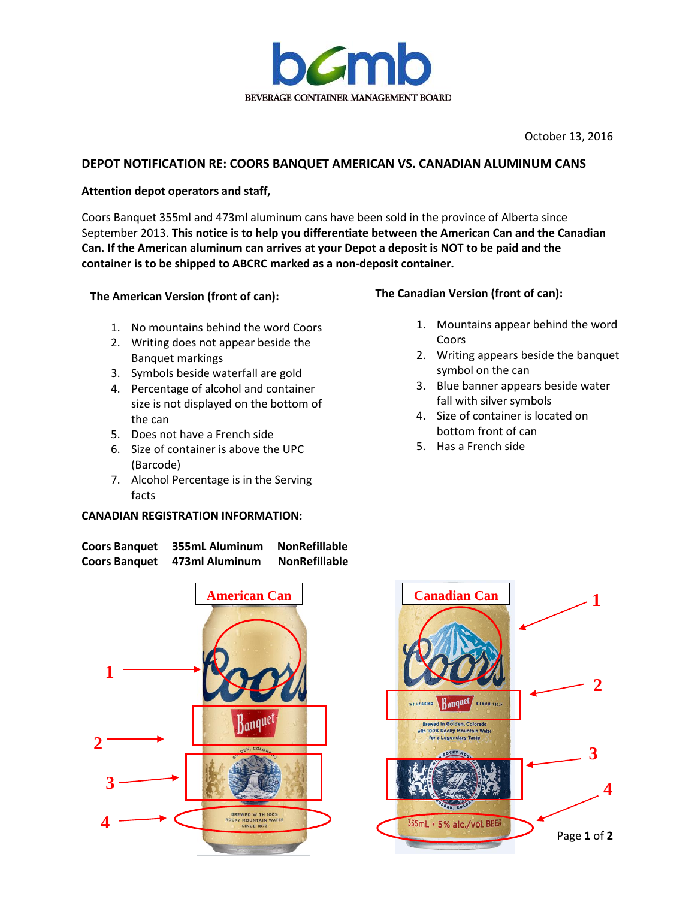

October 13, 2016

## **DEPOT NOTIFICATION RE: COORS BANQUET AMERICAN VS. CANADIAN ALUMINUM CANS**

### **Attention depot operators and staff,**

Coors Banquet 355ml and 473ml aluminum cans have been sold in the province of Alberta since September 2013. **This notice is to help you differentiate between the American Can and the Canadian Can. If the American aluminum can arrives at your Depot a deposit is NOT to be paid and the container is to be shipped to ABCRC marked as a non-deposit container.** 

## **The American Version (front of can):**

- 1. No mountains behind the word Coors
- 2. Writing does not appear beside the Banquet markings
- 3. Symbols beside waterfall are gold
- 4. Percentage of alcohol and container size is not displayed on the bottom of the can
- 5. Does not have a French side
- 6. Size of container is above the UPC (Barcode)
- 7. Alcohol Percentage is in the Serving facts

#### **CANADIAN REGISTRATION INFORMATION:**





# **1 2** INE LEGEND Banquet SINCE 1671-**Brewed In Golden, Colorado Ith 100% Rocky Mountain** for a Legendary Taste **3 4** 355mL · 5% alc./vol. BEER Page **1** of **2**

## **The Canadian Version (front of can):**

- 1. Mountains appear behind the word **Coors**
- 2. Writing appears beside the banquet symbol on the can
- 3. Blue banner appears beside water fall with silver symbols
- 4. Size of container is located on bottom front of can
- 5. Has a French side